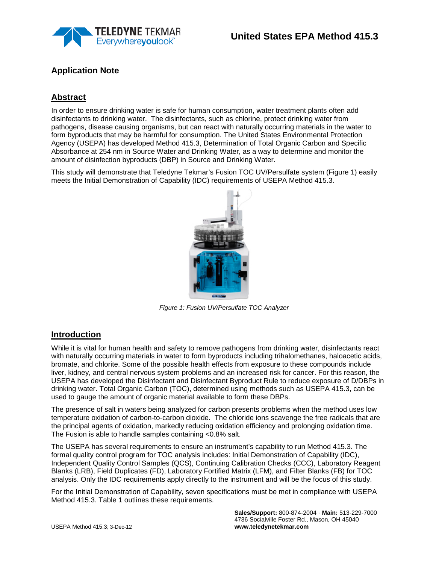

# **Application Note**

# **Abstract**

In order to ensure drinking water is safe for human consumption, water treatment plants often add disinfectants to drinking water. The disinfectants, such as chlorine, protect drinking water from pathogens, disease causing organisms, but can react with naturally occurring materials in the water to form byproducts that may be harmful for consumption. The United States Environmental Protection Agency (USEPA) has developed Method 415.3, Determination of Total Organic Carbon and Specific Absorbance at 254 nm in Source Water and Drinking Water, as a way to determine and monitor the amount of disinfection byproducts (DBP) in Source and Drinking Water.

This study will demonstrate that Teledyne Tekmar's Fusion TOC UV/Persulfate system (Figure 1) easily meets the Initial Demonstration of Capability (IDC) requirements of USEPA Method 415.3.



 *Figure 1: Fusion UV/Persulfate TOC Analyzer* 

## **Introduction**

While it is vital for human health and safety to remove pathogens from drinking water, disinfectants react with naturally occurring materials in water to form byproducts including trihalomethanes, haloacetic acids, bromate, and chlorite. Some of the possible health effects from exposure to these compounds include liver, kidney, and central nervous system problems and an increased risk for cancer. For this reason, the USEPA has developed the Disinfectant and Disinfectant Byproduct Rule to reduce exposure of D/DBPs in drinking water. Total Organic Carbon (TOC), determined using methods such as USEPA 415.3, can be used to gauge the amount of organic material available to form these DBPs.

The presence of salt in waters being analyzed for carbon presents problems when the method uses low temperature oxidation of carbon-to-carbon dioxide. The chloride ions scavenge the free radicals that are the principal agents of oxidation, markedly reducing oxidation efficiency and prolonging oxidation time. The Fusion is able to handle samples containing <0.8% salt.

The USEPA has several requirements to ensure an instrument's capability to run Method 415.3. The formal quality control program for TOC analysis includes: Initial Demonstration of Capability (IDC), Independent Quality Control Samples (QCS), Continuing Calibration Checks (CCC), Laboratory Reagent Blanks (LRB), Field Duplicates (FD), Laboratory Fortified Matrix (LFM), and Filter Blanks (FB) for TOC analysis. Only the IDC requirements apply directly to the instrument and will be the focus of this study.

For the Initial Demonstration of Capability, seven specifications must be met in compliance with USEPA Method 415.3. Table 1 outlines these requirements.

> **Sales/Support:** 800-874-2004 · **Main:** 513-229-7000 4736 Socialville Foster Rd., Mason, OH 45040 **www.teledynetekmar.com**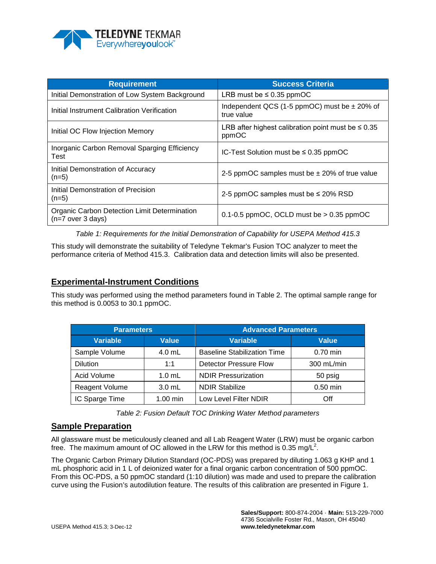

| <b>Requirement</b>                                                  | <b>Success Criteria</b>                                          |
|---------------------------------------------------------------------|------------------------------------------------------------------|
| Initial Demonstration of Low System Background                      | LRB must be $\leq 0.35$ ppmOC                                    |
| Initial Instrument Calibration Verification                         | Independent QCS (1-5 ppmOC) must be $\pm$ 20% of<br>true value   |
| Initial OC Flow Injection Memory                                    | LRB after highest calibration point must be $\leq 0.35$<br>ppmOC |
| Inorganic Carbon Removal Sparging Efficiency<br>Test                | IC-Test Solution must be $\leq 0.35$ ppmOC                       |
| Initial Demonstration of Accuracy<br>$(n=5)$                        | 2-5 ppmOC samples must be $\pm$ 20% of true value                |
| Initial Demonstration of Precision<br>$(n=5)$                       | 2-5 ppmOC samples must be ≤ 20% RSD                              |
| Organic Carbon Detection Limit Determination<br>$(n=7$ over 3 days) | 0.1-0.5 ppmOC, OCLD must be $> 0.35$ ppmOC                       |

*Table 1: Requirements for the Initial Demonstration of Capability for USEPA Method 415.3*

This study will demonstrate the suitability of Teledyne Tekmar's Fusion TOC analyzer to meet the performance criteria of Method 415.3. Calibration data and detection limits will also be presented.

### **Experimental-Instrument Conditions**

This study was performed using the method parameters found in Table 2. The optimal sample range for this method is 0.0053 to 30.1 ppmOC.

| <b>Parameters</b> |              | <b>Advanced Parameters</b>         |              |
|-------------------|--------------|------------------------------------|--------------|
| <b>Variable</b>   | <b>Value</b> | <b>Variable</b>                    | <b>Value</b> |
| Sample Volume     | $4.0$ mL     | <b>Baseline Stabilization Time</b> | $0.70$ min   |
| <b>Dilution</b>   | 1:1          | <b>Detector Pressure Flow</b>      | 300 mL/min   |
| Acid Volume       | $1.0$ mL     | <b>NDIR Pressurization</b>         | 50 psig      |
| Reagent Volume    | $3.0$ mL     | <b>NDIR Stabilize</b>              | $0.50$ min   |
| IC Sparge Time    | $1.00$ min   | Low Level Filter NDIR              | Off          |

*Table 2: Fusion Default TOC Drinking Water Method parameters*

### **Sample Preparation**

All glassware must be meticulously cleaned and all Lab Reagent Water (LRW) must be organic carbon free. The maximum amount of OC allowed in the LRW for this method is 0.35 mg/L<sup>2</sup>.

The Organic Carbon Primary Dilution Standard (OC-PDS) was prepared by diluting 1.063 g KHP and 1 mL phosphoric acid in 1 L of deionized water for a final organic carbon concentration of 500 ppmOC. From this OC-PDS, a 50 ppmOC standard (1:10 dilution) was made and used to prepare the calibration curve using the Fusion's autodilution feature. The results of this calibration are presented in Figure 1.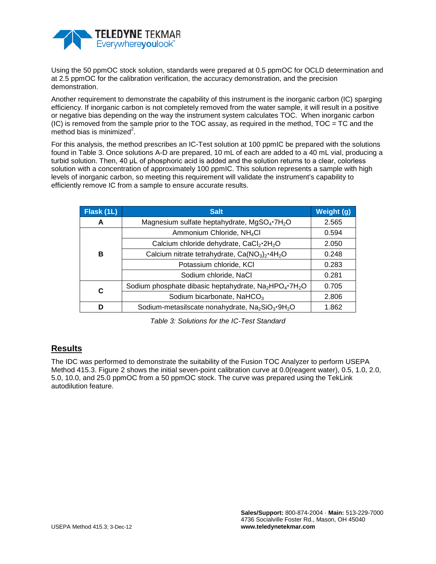

Using the 50 ppmOC stock solution, standards were prepared at 0.5 ppmOC for OCLD determination and at 2.5 ppmOC for the calibration verification, the accuracy demonstration, and the precision demonstration.

Another requirement to demonstrate the capability of this instrument is the inorganic carbon (IC) sparging efficiency. If inorganic carbon is not completely removed from the water sample, it will result in a positive or negative bias depending on the way the instrument system calculates TOC. When inorganic carbon  $(IC)$  is removed from the sample prior to the TOC assay, as required in the method, TOC = TC and the method bias is minimized $^2$ .

For this analysis, the method prescribes an IC-Test solution at 100 ppmIC be prepared with the solutions found in Table 3. Once solutions A-D are prepared, 10 mL of each are added to a 40 mL vial, producing a turbid solution. Then, 40 μL of phosphoric acid is added and the solution returns to a clear, colorless solution with a concentration of approximately 100 ppmIC. This solution represents a sample with high levels of inorganic carbon, so meeting this requirement will validate the instrument's capability to efficiently remove IC from a sample to ensure accurate results.

| Flask (1L) | <b>Salt</b>                                                                                | Weight (g) |
|------------|--------------------------------------------------------------------------------------------|------------|
| A          | Magnesium sulfate heptahydrate, MgSO <sub>4</sub> .7H <sub>2</sub> O                       | 2.565      |
|            | Ammonium Chloride, NH <sub>4</sub> Cl                                                      | 0.594      |
| В          | Calcium chloride dehydrate, CaCl <sub>2</sub> ·2H <sub>2</sub> O                           | 2.050      |
|            | Calcium nitrate tetrahydrate, $Ca(NO3)2·4H2O$                                              | 0.248      |
|            | Potassium chloride, KCI                                                                    | 0.283      |
|            | Sodium chloride, NaCl                                                                      | 0.281      |
| C          | Sodium phosphate dibasic heptahydrate, Na <sub>2</sub> HPO <sub>4</sub> .7H <sub>2</sub> O | 0.705      |
|            | Sodium bicarbonate, NaHCO <sub>3</sub>                                                     | 2.806      |
| D          | Sodium-metasilscate nonahydrate, Na <sub>2</sub> SiO <sub>3</sub> .9H <sub>2</sub> O       | 1.862      |

*Table 3: Solutions for the IC-Test Standard*

## **Results**

The IDC was performed to demonstrate the suitability of the Fusion TOC Analyzer to perform USEPA Method 415.3. Figure 2 shows the initial seven-point calibration curve at 0.0(reagent water), 0.5, 1.0, 2.0, 5.0, 10.0, and 25.0 ppmOC from a 50 ppmOC stock. The curve was prepared using the TekLink autodilution feature.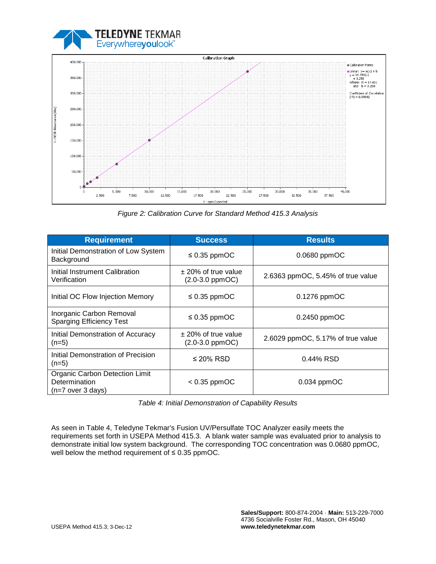



*Figure 2: Calibration Curve for Standard Method 415.3 Analysis*

| <b>Requirement</b>                                                     | <b>Success</b>                               | <b>Results</b>                    |
|------------------------------------------------------------------------|----------------------------------------------|-----------------------------------|
| Initial Demonstration of Low System<br>Background                      | $\leq$ 0.35 ppmOC                            | $0.0680$ ppmOC                    |
| Initial Instrument Calibration<br>Verification                         | $\pm$ 20% of true value<br>$(2.0-3.0$ ppmOC) | 2.6363 ppmOC, 5.45% of true value |
| Initial OC Flow Injection Memory                                       | $\leq$ 0.35 ppmOC                            | $0.1276$ ppmOC                    |
| Inorganic Carbon Removal<br><b>Sparging Efficiency Test</b>            | $\leq$ 0.35 ppmOC                            | $0.2450$ ppmOC                    |
| Initial Demonstration of Accuracy<br>$(n=5)$                           | $\pm$ 20% of true value<br>$(2.0-3.0$ ppmOC) | 2.6029 ppmOC, 5.17% of true value |
| Initial Demonstration of Precision<br>$(n=5)$                          | $\leq$ 20% RSD                               | $0.44\%$ RSD                      |
| Organic Carbon Detection Limit<br>Determination<br>$(n=7$ over 3 days) | $< 0.35$ ppmOC                               | $0.034$ ppmOC                     |

*Table 4: Initial Demonstration of Capability Results*

As seen in Table 4, Teledyne Tekmar's Fusion UV/Persulfate TOC Analyzer easily meets the requirements set forth in USEPA Method 415.3. A blank water sample was evaluated prior to analysis to demonstrate initial low system background. The corresponding TOC concentration was 0.0680 ppmOC, well below the method requirement of ≤ 0.35 ppmOC.